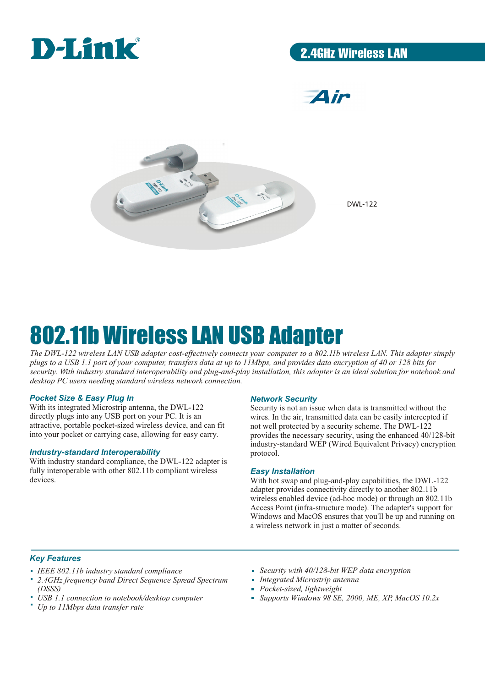

## 2.4GHz Wireless LAN

**Air** 



# 802.11b Wireless LAN USB Adapter

*The DWL-122 wireless LAN USB adapter cost-effectively connects your computer to a 802.11b wireless LAN. This adapter simply plugs to a USB 1.1 port of your computer, transfers data at up to 11Mbps, and provides data encryption of 40 or 128 bits for security. With industry standard interoperability and plug-and-play installation, this adapter is an ideal solution for notebook and desktop PC users needing standard wireless network connection.*

#### *Pocket Size & Easy Plug In*

With its integrated Microstrip antenna, the DWL-122 directly plugs into any USB port on your PC. It is an attractive, portable pocket-sized wireless device, and can fit into your pocket or carrying case, allowing for easy carry.

#### *Industry-standard Interoperability*

With industry standard compliance, the DWL-122 adapter is fully interoperable with other 802.11b compliant wireless devices.

#### *Network Security*

Security is not an issue when data is transmitted without the wires. In the air, transmitted data can be easily intercepted if not well protected by a security scheme. The DWL-122 provides the necessary security, using the enhanced 40/128-bit industry-standard WEP (Wired Equivalent Privacy) encryption protocol.

#### *Easy Installation*

With hot swap and plug-and-play capabilities, the DWL-122 adapter provides connectivity directly to another 802.11b wireless enabled device (ad-hoc mode) or through an 802.11b Access Point (infra-structure mode). The adapter's support for Windows and MacOS ensures that you'll be up and running on a wireless network in just a matter of seconds.

#### *Key Features*

- *IEEE 802.11b industry standard compliance*
- *2.4GHz frequency band Direct Sequence Spread Spectrum (DSSS)*
- *USB 1.1 connection to notebook/desktop computer*
- *Up to 11Mbps data transfer rate*
- *Security with 40/128-bit WEP data encryption*
- *Integrated Microstrip antenna*
- *Pocket-sized, lightweight*
- *Supports Windows 98 SE, 2000, ME, XP, MacOS 10.2x*